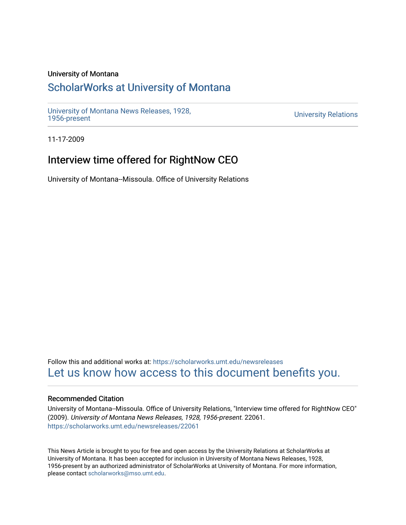## University of Montana

# [ScholarWorks at University of Montana](https://scholarworks.umt.edu/)

[University of Montana News Releases, 1928,](https://scholarworks.umt.edu/newsreleases) 

**University Relations** 

11-17-2009

# Interview time offered for RightNow CEO

University of Montana--Missoula. Office of University Relations

Follow this and additional works at: [https://scholarworks.umt.edu/newsreleases](https://scholarworks.umt.edu/newsreleases?utm_source=scholarworks.umt.edu%2Fnewsreleases%2F22061&utm_medium=PDF&utm_campaign=PDFCoverPages) [Let us know how access to this document benefits you.](https://goo.gl/forms/s2rGfXOLzz71qgsB2) 

#### Recommended Citation

University of Montana--Missoula. Office of University Relations, "Interview time offered for RightNow CEO" (2009). University of Montana News Releases, 1928, 1956-present. 22061. [https://scholarworks.umt.edu/newsreleases/22061](https://scholarworks.umt.edu/newsreleases/22061?utm_source=scholarworks.umt.edu%2Fnewsreleases%2F22061&utm_medium=PDF&utm_campaign=PDFCoverPages) 

This News Article is brought to you for free and open access by the University Relations at ScholarWorks at University of Montana. It has been accepted for inclusion in University of Montana News Releases, 1928, 1956-present by an authorized administrator of ScholarWorks at University of Montana. For more information, please contact [scholarworks@mso.umt.edu.](mailto:scholarworks@mso.umt.edu)